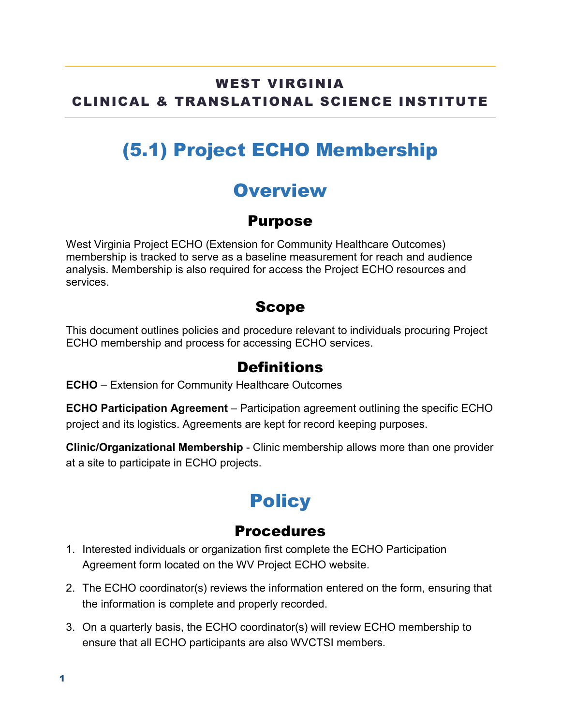### WEST VIRGINIA CLINICAL & TRANSLATIONAL SCIENCE INSTITUTE

# (5.1) Project ECHO Membership

### **Overview**

#### Purpose

West Virginia Project ECHO (Extension for Community Healthcare Outcomes) membership is tracked to serve as a baseline measurement for reach and audience analysis. Membership is also required for access the Project ECHO resources and services.

#### Scope

This document outlines policies and procedure relevant to individuals procuring Project ECHO membership and process for accessing ECHO services.

#### Definitions

**ECHO** – Extension for Community Healthcare Outcomes

**ECHO Participation Agreement** – Participation agreement outlining the specific ECHO project and its logistics. Agreements are kept for record keeping purposes.

**Clinic/Organizational Membership** - Clinic membership allows more than one provider at a site to participate in ECHO projects.

# **Policy**

#### Procedures

- 1. Interested individuals or organization first complete the ECHO Participation Agreement form located on the WV Project ECHO website.
- 2. The ECHO coordinator(s) reviews the information entered on the form, ensuring that the information is complete and properly recorded.
- 3. On a quarterly basis, the ECHO coordinator(s) will review ECHO membership to ensure that all ECHO participants are also WVCTSI members.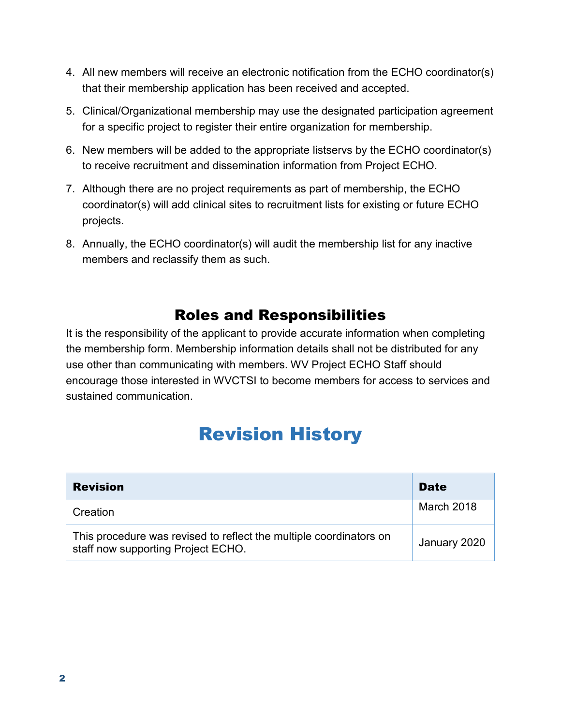- 4. All new members will receive an electronic notification from the ECHO coordinator(s) that their membership application has been received and accepted.
- 5. Clinical/Organizational membership may use the designated participation agreement for a specific project to register their entire organization for membership.
- 6. New members will be added to the appropriate listservs by the ECHO coordinator(s) to receive recruitment and dissemination information from Project ECHO.
- 7. Although there are no project requirements as part of membership, the ECHO coordinator(s) will add clinical sites to recruitment lists for existing or future ECHO projects.
- 8. Annually, the ECHO coordinator(s) will audit the membership list for any inactive members and reclassify them as such.

### Roles and Responsibilities

It is the responsibility of the applicant to provide accurate information when completing the membership form. Membership information details shall not be distributed for any use other than communicating with members. WV Project ECHO Staff should encourage those interested in WVCTSI to become members for access to services and sustained communication.

## Revision History

| <b>Revision</b>                                                                                          | <b>Date</b>  |
|----------------------------------------------------------------------------------------------------------|--------------|
| Creation                                                                                                 | March 2018   |
| This procedure was revised to reflect the multiple coordinators on<br>staff now supporting Project ECHO. | January 2020 |